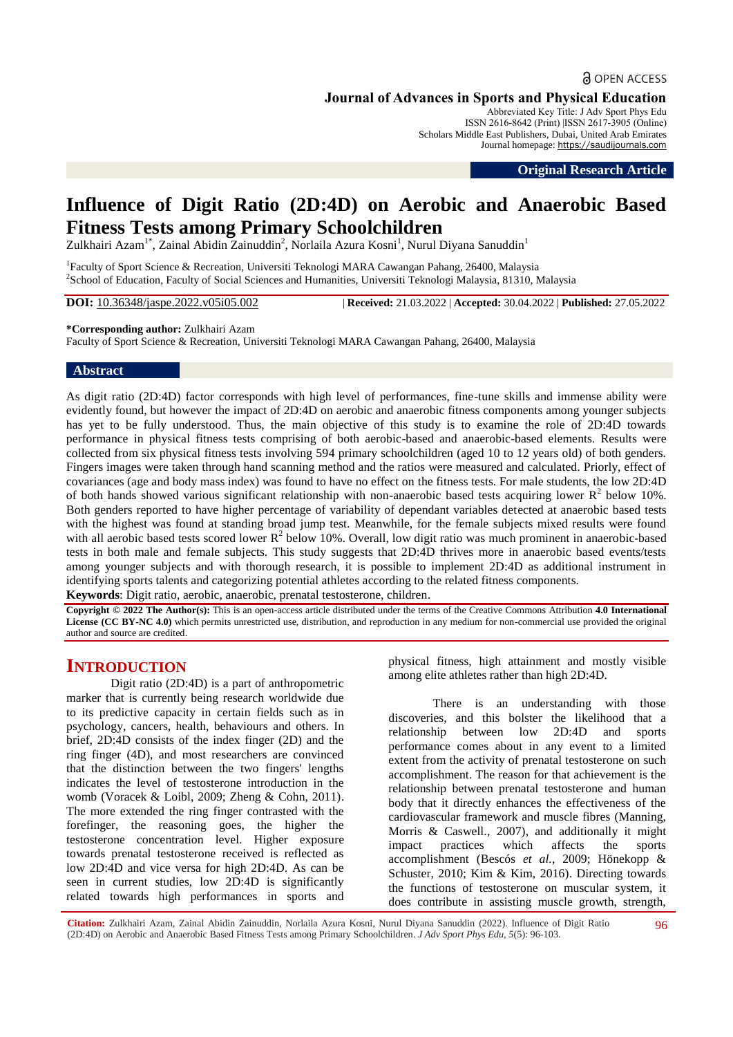## **a** OPEN ACCESS

**Journal of Advances in Sports and Physical Education**

Abbreviated Key Title: J Adv Sport Phys Edu ISSN 2616-8642 (Print) |ISSN 2617-3905 (Online) Scholars Middle East Publishers, Dubai, United Arab Emirates Journal homepage: [https://saudijournals.com](https://saudijournals.com/jaspe)

**Original Research Article**

# **Influence of Digit Ratio (2D:4D) on Aerobic and Anaerobic Based Fitness Tests among Primary Schoolchildren**

Zulkhairi Azam<sup>1\*</sup>, Zainal Abidin Zainuddin<sup>2</sup>, Norlaila Azura Kosni<sup>1</sup>, Nurul Diyana Sanuddin<sup>1</sup>

<sup>1</sup> Faculty of Sport Science & Recreation, Universiti Teknologi MARA Cawangan Pahang, 26400, Malaysia 2 School of Education, Faculty of Social Sciences and Humanities, Universiti Teknologi Malaysia, 81310, Malaysia

**DOI:** 10.36348/jaspe.2022.v05i05.002 | **Received:** 21.03.2022 | **Accepted:** 30.04.2022 | **Published:** 27.05.2022

**\*Corresponding author:** Zulkhairi Azam

Faculty of Sport Science & Recreation, Universiti Teknologi MARA Cawangan Pahang, 26400, Malaysia

## **Abstract**

As digit ratio (2D:4D) factor corresponds with high level of performances, fine-tune skills and immense ability were evidently found, but however the impact of 2D:4D on aerobic and anaerobic fitness components among younger subjects has yet to be fully understood. Thus, the main objective of this study is to examine the role of 2D:4D towards performance in physical fitness tests comprising of both aerobic-based and anaerobic-based elements. Results were collected from six physical fitness tests involving 594 primary schoolchildren (aged 10 to 12 years old) of both genders. Fingers images were taken through hand scanning method and the ratios were measured and calculated. Priorly, effect of covariances (age and body mass index) was found to have no effect on the fitness tests. For male students, the low 2D:4D of both hands showed various significant relationship with non-anaerobic based tests acquiring lower  $R^2$  below 10%. Both genders reported to have higher percentage of variability of dependant variables detected at anaerobic based tests with the highest was found at standing broad jump test. Meanwhile, for the female subjects mixed results were found with all aerobic based tests scored lower  $R^2$  below 10%. Overall, low digit ratio was much prominent in anaerobic-based tests in both male and female subjects. This study suggests that 2D:4D thrives more in anaerobic based events/tests among younger subjects and with thorough research, it is possible to implement 2D:4D as additional instrument in identifying sports talents and categorizing potential athletes according to the related fitness components.

**Keywords**: Digit ratio, aerobic, anaerobic, prenatal testosterone, children.

**Copyright © 2022 The Author(s):** This is an open-access article distributed under the terms of the Creative Commons Attribution **4.0 International License (CC BY-NC 4.0)** which permits unrestricted use, distribution, and reproduction in any medium for non-commercial use provided the original author and source are credited.

## **INTRODUCTION**

Digit ratio (2D:4D) is a part of anthropometric marker that is currently being research worldwide due to its predictive capacity in certain fields such as in psychology, cancers, health, behaviours and others. In brief, 2D:4D consists of the index finger (2D) and the ring finger (4D), and most researchers are convinced that the distinction between the two fingers' lengths indicates the level of testosterone introduction in the womb (Voracek & Loibl, 2009; Zheng & Cohn, 2011). The more extended the ring finger contrasted with the forefinger, the reasoning goes, the higher the testosterone concentration level. Higher exposure towards prenatal testosterone received is reflected as low 2D:4D and vice versa for high 2D:4D. As can be seen in current studies, low 2D:4D is significantly related towards high performances in sports and physical fitness, high attainment and mostly visible among elite athletes rather than high 2D:4D.

There is an understanding with those discoveries, and this bolster the likelihood that a relationship between low 2D:4D and sports performance comes about in any event to a limited extent from the activity of prenatal testosterone on such accomplishment. The reason for that achievement is the relationship between prenatal testosterone and human body that it directly enhances the effectiveness of the cardiovascular framework and muscle fibres (Manning, Morris & Caswell., 2007), and additionally it might impact practices which affects the sports accomplishment (Bescós *et al.*, 2009; Hönekopp & Schuster, 2010; Kim & Kim, 2016). Directing towards the functions of testosterone on muscular system, it does contribute in assisting muscle growth, strength,

**Citation:** Zulkhairi Azam, Zainal Abidin Zainuddin, Norlaila Azura Kosni, Nurul Diyana Sanuddin (2022). Influence of Digit Ratio (2D:4D) on Aerobic and Anaerobic Based Fitness Tests among Primary Schoolchildren. *J Adv Sport Phys Edu, 5*(5): 96-103.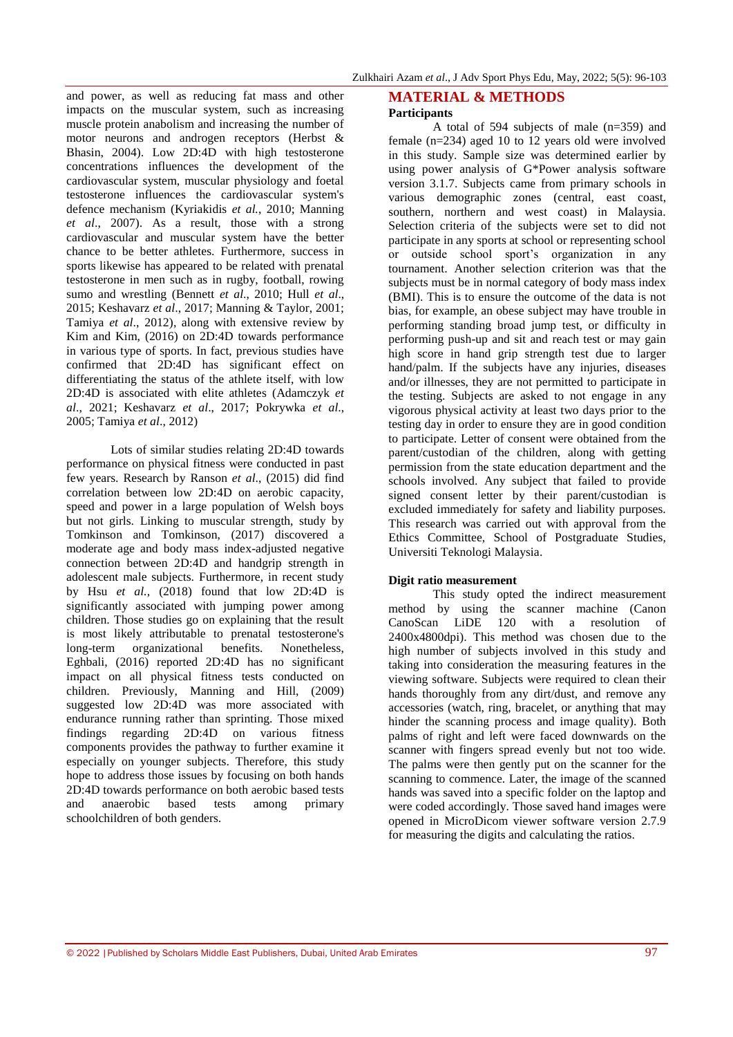and power, as well as reducing fat mass and other impacts on the muscular system, such as increasing muscle protein anabolism and increasing the number of motor neurons and androgen receptors (Herbst & Bhasin, 2004). Low 2D:4D with high testosterone concentrations influences the development of the cardiovascular system, muscular physiology and foetal testosterone influences the cardiovascular system's defence mechanism (Kyriakidis *et al.*, 2010; Manning *et al*., 2007). As a result, those with a strong cardiovascular and muscular system have the better chance to be better athletes. Furthermore, success in sports likewise has appeared to be related with prenatal testosterone in men such as in rugby, football, rowing sumo and wrestling (Bennett *et al*., 2010; Hull *et al*., 2015; Keshavarz *et al*., 2017; Manning & Taylor, 2001; Tamiya *et al*., 2012), along with extensive review by Kim and Kim, (2016) on 2D:4D towards performance in various type of sports. In fact, previous studies have confirmed that 2D:4D has significant effect on differentiating the status of the athlete itself, with low 2D:4D is associated with elite athletes (Adamczyk *et al*., 2021; Keshavarz *et al*., 2017; Pokrywka *et al*., 2005; Tamiya *et al*., 2012)

Lots of similar studies relating 2D:4D towards performance on physical fitness were conducted in past few years. Research by Ranson *et al*., (2015) did find correlation between low 2D:4D on aerobic capacity, speed and power in a large population of Welsh boys but not girls. Linking to muscular strength, study by Tomkinson and Tomkinson, (2017) discovered a moderate age and body mass index-adjusted negative connection between 2D:4D and handgrip strength in adolescent male subjects. Furthermore, in recent study by Hsu *et al.*, (2018) found that low 2D:4D is significantly associated with jumping power among children. Those studies go on explaining that the result is most likely attributable to prenatal testosterone's long-term organizational benefits. Nonetheless, Eghbali, (2016) reported 2D:4D has no significant impact on all physical fitness tests conducted on children. Previously, Manning and Hill, (2009) suggested low 2D:4D was more associated with endurance running rather than sprinting. Those mixed findings regarding 2D:4D on various fitness components provides the pathway to further examine it especially on younger subjects. Therefore, this study hope to address those issues by focusing on both hands 2D:4D towards performance on both aerobic based tests and anaerobic based tests among primary schoolchildren of both genders.

## **MATERIAL & METHODS Participants**

A total of 594 subjects of male (n=359) and female (n=234) aged 10 to 12 years old were involved in this study. Sample size was determined earlier by using power analysis of G\*Power analysis software version 3.1.7. Subjects came from primary schools in various demographic zones (central, east coast, southern, northern and west coast) in Malaysia. Selection criteria of the subjects were set to did not participate in any sports at school or representing school or outside school sport's organization in any tournament. Another selection criterion was that the subjects must be in normal category of body mass index (BMI). This is to ensure the outcome of the data is not bias, for example, an obese subject may have trouble in performing standing broad jump test, or difficulty in performing push-up and sit and reach test or may gain high score in hand grip strength test due to larger hand/palm. If the subjects have any injuries, diseases and/or illnesses, they are not permitted to participate in the testing. Subjects are asked to not engage in any vigorous physical activity at least two days prior to the testing day in order to ensure they are in good condition to participate. Letter of consent were obtained from the parent/custodian of the children, along with getting permission from the state education department and the schools involved. Any subject that failed to provide signed consent letter by their parent/custodian is excluded immediately for safety and liability purposes. This research was carried out with approval from the Ethics Committee, School of Postgraduate Studies, Universiti Teknologi Malaysia.

## **Digit ratio measurement**

This study opted the indirect measurement method by using the scanner machine (Canon CanoScan LiDE 120 with a resolution of 2400x4800dpi). This method was chosen due to the high number of subjects involved in this study and taking into consideration the measuring features in the viewing software. Subjects were required to clean their hands thoroughly from any dirt/dust, and remove any accessories (watch, ring, bracelet, or anything that may hinder the scanning process and image quality). Both palms of right and left were faced downwards on the scanner with fingers spread evenly but not too wide. The palms were then gently put on the scanner for the scanning to commence. Later, the image of the scanned hands was saved into a specific folder on the laptop and were coded accordingly. Those saved hand images were opened in MicroDicom viewer software version 2.7.9 for measuring the digits and calculating the ratios.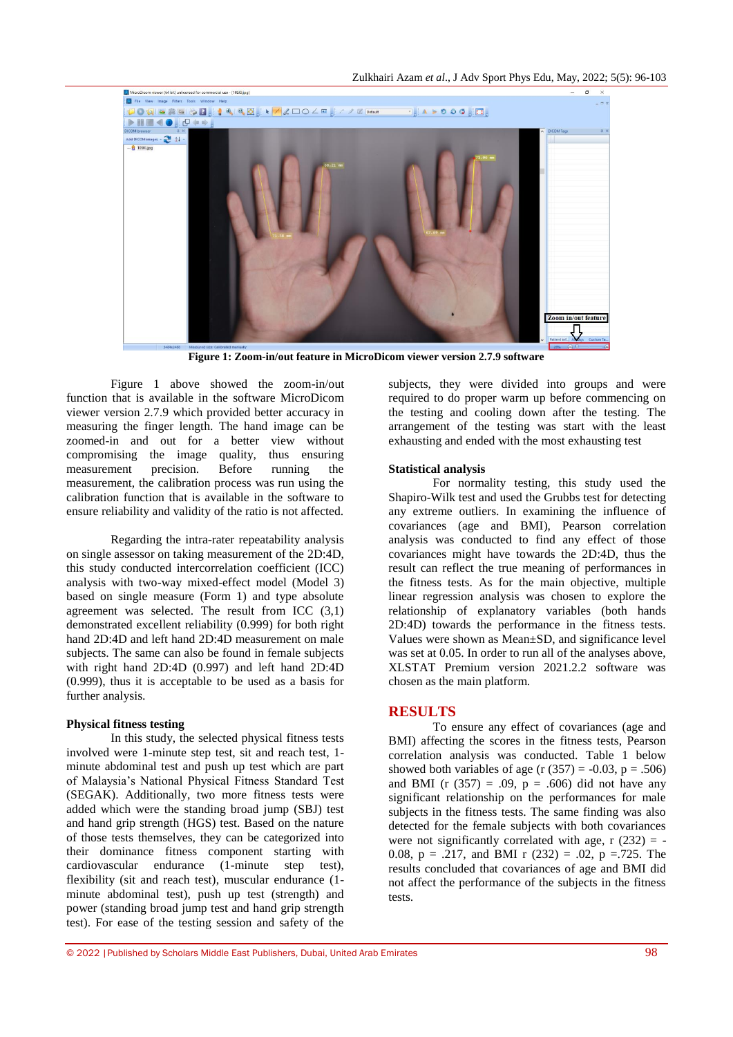

**Figure 1: Zoom-in/out feature in MicroDicom viewer version 2.7.9 software**

Figure 1 above showed the zoom-in/out function that is available in the software MicroDicom viewer version 2.7.9 which provided better accuracy in measuring the finger length. The hand image can be zoomed-in and out for a better view without compromising the image quality, thus ensuring measurement precision. Before running the measurement, the calibration process was run using the calibration function that is available in the software to ensure reliability and validity of the ratio is not affected.

Regarding the intra-rater repeatability analysis on single assessor on taking measurement of the 2D:4D, this study conducted intercorrelation coefficient (ICC) analysis with two-way mixed-effect model (Model 3) based on single measure (Form 1) and type absolute agreement was selected. The result from ICC (3,1) demonstrated excellent reliability (0.999) for both right hand 2D:4D and left hand 2D:4D measurement on male subjects. The same can also be found in female subjects with right hand 2D:4D (0.997) and left hand 2D:4D (0.999), thus it is acceptable to be used as a basis for further analysis.

#### **Physical fitness testing**

In this study, the selected physical fitness tests involved were 1-minute step test, sit and reach test, 1 minute abdominal test and push up test which are part of Malaysia's National Physical Fitness Standard Test (SEGAK). Additionally, two more fitness tests were added which were the standing broad jump (SBJ) test and hand grip strength (HGS) test. Based on the nature of those tests themselves, they can be categorized into their dominance fitness component starting with cardiovascular endurance (1-minute step test), flexibility (sit and reach test), muscular endurance (1 minute abdominal test), push up test (strength) and power (standing broad jump test and hand grip strength test). For ease of the testing session and safety of the

subjects, they were divided into groups and were required to do proper warm up before commencing on the testing and cooling down after the testing. The arrangement of the testing was start with the least exhausting and ended with the most exhausting test

### **Statistical analysis**

For normality testing, this study used the Shapiro-Wilk test and used the Grubbs test for detecting any extreme outliers. In examining the influence of covariances (age and BMI), Pearson correlation analysis was conducted to find any effect of those covariances might have towards the 2D:4D, thus the result can reflect the true meaning of performances in the fitness tests. As for the main objective, multiple linear regression analysis was chosen to explore the relationship of explanatory variables (both hands 2D:4D) towards the performance in the fitness tests. Values were shown as Mean±SD, and significance level was set at 0.05. In order to run all of the analyses above, XLSTAT Premium version 2021.2.2 software was chosen as the main platform.

## **RESULTS**

To ensure any effect of covariances (age and BMI) affecting the scores in the fitness tests, Pearson correlation analysis was conducted. Table 1 below showed both variables of age (r  $(357) = -0.03$ , p = .506) and BMI (r  $(357) = .09$ ,  $p = .606$ ) did not have any significant relationship on the performances for male subjects in the fitness tests. The same finding was also detected for the female subjects with both covariances were not significantly correlated with age,  $r(232) = -$ 0.08,  $p = .217$ , and BMI r (232) = .02,  $p = .725$ . The results concluded that covariances of age and BMI did not affect the performance of the subjects in the fitness tests.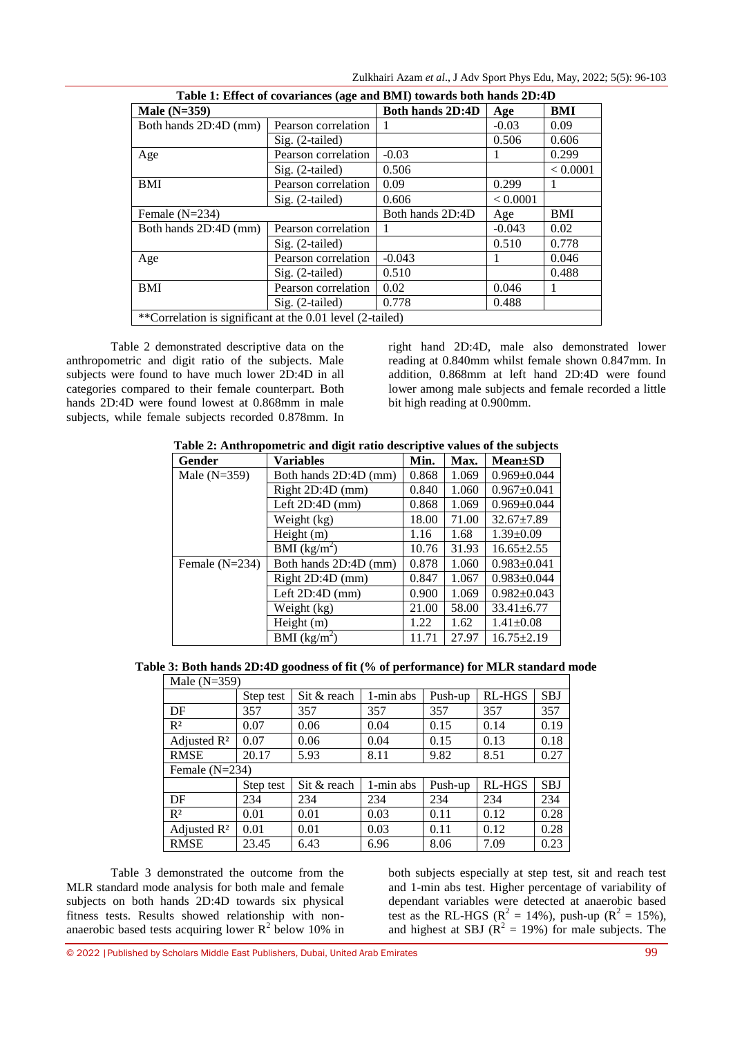Zulkhairi Azam *et al*., J Adv Sport Phys Edu, May, 2022; 5(5): 96-103

| Table 1: Effect of covariances (age and BMI) towards both hands 2D:4D |                         |          |            |          |  |  |
|-----------------------------------------------------------------------|-------------------------|----------|------------|----------|--|--|
| Male $(N=359)$                                                        | <b>Both hands 2D:4D</b> | Age      | BMI        |          |  |  |
| Both hands 2D:4D (mm)                                                 | Pearson correlation     |          | $-0.03$    | 0.09     |  |  |
|                                                                       | Sig. (2-tailed)         |          | 0.506      | 0.606    |  |  |
| Age                                                                   | Pearson correlation     | $-0.03$  |            | 0.299    |  |  |
|                                                                       | Sig. (2-tailed)         | 0.506    |            | < 0.0001 |  |  |
| <b>BMI</b>                                                            | Pearson correlation     | 0.09     | 0.299      | 1        |  |  |
|                                                                       | $Sig. (2-tailed)$       | 0.606    | < 0.0001   |          |  |  |
| Female $(N=234)$                                                      | Both hands 2D:4D        | Age      | <b>BMI</b> |          |  |  |
| Both hands 2D:4D (mm)                                                 | Pearson correlation     | 1        | $-0.043$   | 0.02     |  |  |
|                                                                       | $Sig. (2-tailed)$       |          | 0.510      | 0.778    |  |  |
| Age                                                                   | Pearson correlation     | $-0.043$ |            | 0.046    |  |  |
|                                                                       | Sig. (2-tailed)         | 0.510    |            | 0.488    |  |  |
| <b>BMI</b>                                                            | Pearson correlation     | 0.02     | 0.046      | 1        |  |  |
|                                                                       | $Sig. (2-tailed)$       | 0.778    | 0.488      |          |  |  |
| **Correlation is significant at the 0.01 level (2-tailed)             |                         |          |            |          |  |  |

Table 2 demonstrated descriptive data on the anthropometric and digit ratio of the subjects. Male subjects were found to have much lower 2D:4D in all categories compared to their female counterpart. Both hands 2D:4D were found lowest at 0.868mm in male subjects, while female subjects recorded 0.878mm. In

right hand 2D:4D, male also demonstrated lower reading at 0.840mm whilst female shown 0.847mm. In addition, 0.868mm at left hand 2D:4D were found lower among male subjects and female recorded a little bit high reading at 0.900mm.

**Table 2: Anthropometric and digit ratio descriptive values of the subjects**

| Gender           | <b>Variables</b>      | Min.  | Max.  | $Mean \pm SD$     |
|------------------|-----------------------|-------|-------|-------------------|
| Male $(N=359)$   | Both hands 2D:4D (mm) | 0.868 | 1.069 | $0.969 \pm 0.044$ |
|                  | Right 2D:4D (mm)      | 0.840 | 1.060 | $0.967 \pm 0.041$ |
|                  | Left $2D:4D$ (mm)     | 0.868 | 1.069 | $0.969 \pm 0.044$ |
|                  | Weight (kg)           | 18.00 | 71.00 | 32.67±7.89        |
|                  | Height (m)            | 1.16  | 1.68  | $1.39 \pm 0.09$   |
|                  | BMI $(kg/m^2)$        | 10.76 | 31.93 | $16.65 \pm 2.55$  |
| Female $(N=234)$ | Both hands 2D:4D (mm) | 0.878 | 1.060 | $0.983 \pm 0.041$ |
|                  | Right 2D:4D (mm)      | 0.847 | 1.067 | $0.983 \pm 0.044$ |
|                  | Left $2D:4D$ (mm)     | 0.900 | 1.069 | $0.982 \pm 0.043$ |
|                  | Weight (kg)           | 21.00 | 58.00 | $33.41 \pm 6.77$  |
|                  | Height $(m)$          | 1.22  | 1.62  | $1.41 \pm 0.08$   |
|                  | BMI $(kg/m^2)$        | 11.71 | 27.97 | $16.75 \pm 2.19$  |

**Table 3: Both hands 2D:4D goodness of fit (% of performance) for MLR standard mode** Male  $(N=359)$ 

| 1.10101111202221        |                  |             |           |         |               |            |  |  |
|-------------------------|------------------|-------------|-----------|---------|---------------|------------|--|--|
|                         | Step test        | Sit & reach | 1-min abs | Push-up | RL-HGS        | <b>SBJ</b> |  |  |
| DF                      | 357              | 357         | 357       | 357     | 357           | 357        |  |  |
| R <sup>2</sup>          | 0.07             | 0.06        | 0.04      | 0.15    | 0.14          | 0.19       |  |  |
| Adjusted $\mathbb{R}^2$ | 0.07             | 0.06        | 0.04      | 0.15    | 0.13          | 0.18       |  |  |
| <b>RMSE</b>             | 20.17            | 5.93        | 8.11      | 9.82    | 8.51          | 0.27       |  |  |
|                         | Female $(N=234)$ |             |           |         |               |            |  |  |
|                         | Step test        | Sit & reach | 1-min abs | Push-up | <b>RL-HGS</b> | <b>SBJ</b> |  |  |
| DF                      | 234              | 234         | 234       | 234     | 234           | 234        |  |  |
| $R^2$                   | 0.01             | 0.01        | 0.03      | 0.11    | 0.12          | 0.28       |  |  |
| Adjusted $\mathbb{R}^2$ | 0.01             | 0.01        | 0.03      | 0.11    | 0.12          | 0.28       |  |  |
| <b>RMSE</b>             | 23.45            | 6.43        | 6.96      | 8.06    | 7.09          | 0.23       |  |  |

Table 3 demonstrated the outcome from the MLR standard mode analysis for both male and female subjects on both hands 2D:4D towards six physical fitness tests. Results showed relationship with nonanaerobic based tests acquiring lower  $R^2$  below 10% in both subjects especially at step test, sit and reach test and 1-min abs test. Higher percentage of variability of dependant variables were detected at anaerobic based test as the RL-HGS ( $R^2 = 14\%$ ), push-up ( $R^2 = 15\%$ ), and highest at SBJ ( $R^2 = 19\%$ ) for male subjects. The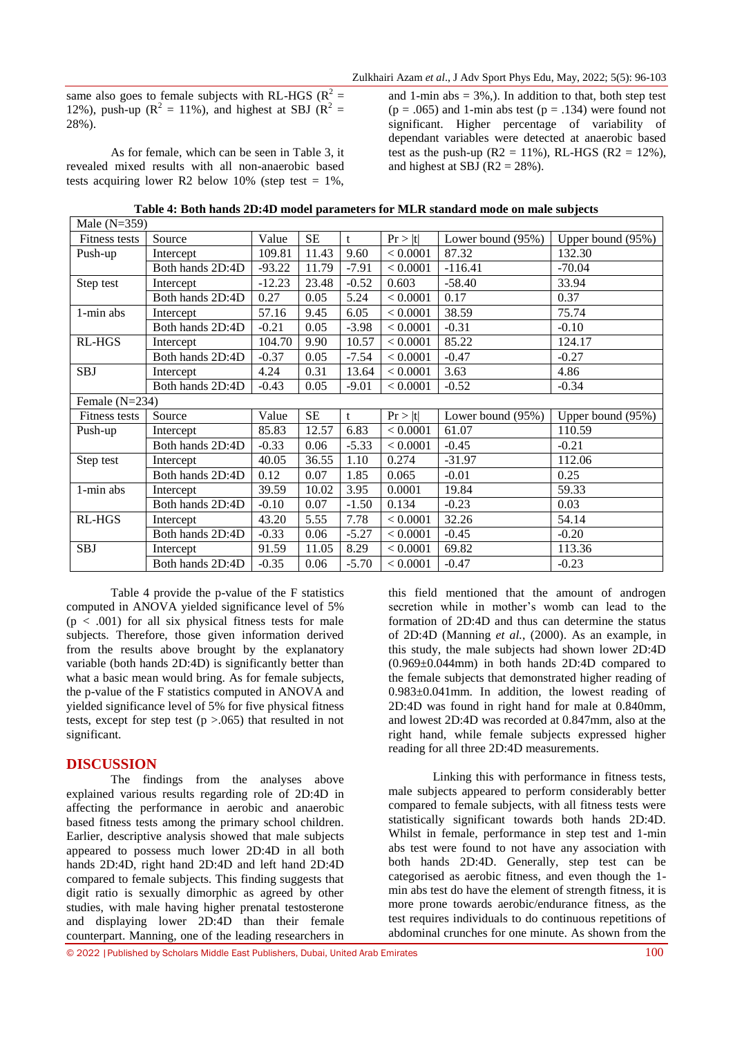same also goes to female subjects with RL-HGS ( $R^2$  = 12%), push-up ( $R^2 = 11\%$ ), and highest at SBJ ( $R^2 =$ 28%).

As for female, which can be seen in Table 3, it revealed mixed results with all non-anaerobic based tests acquiring lower R2 below 10% (step test =  $1\%$ , and 1-min abs  $= 3\%$ ,). In addition to that, both step test  $(p = .065)$  and 1-min abs test  $(p = .134)$  were found not significant. Higher percentage of variability of dependant variables were detected at anaerobic based test as the push-up ( $R2 = 11\%$ ), RL-HGS ( $R2 = 12\%$ ), and highest at SBJ ( $R2 = 28\%$ ).

| Table 4: Both hands 2D:4D model parameters for MLR standard mode on male subjects |  |  |  |
|-----------------------------------------------------------------------------------|--|--|--|
|-----------------------------------------------------------------------------------|--|--|--|

| Male $(N=359)$   |                  |          |           |         |          |                   |                   |
|------------------|------------------|----------|-----------|---------|----------|-------------------|-------------------|
| Fitness tests    | Source           | Value    | <b>SE</b> | t       | Pr >  t  | Lower bound (95%) | Upper bound (95%) |
| Push-up          | Intercept        | 109.81   | 11.43     | 9.60    | < 0.0001 | 87.32             | 132.30            |
|                  | Both hands 2D:4D | $-93.22$ | 11.79     | $-7.91$ | < 0.0001 | $-116.41$         | $-70.04$          |
| Step test        | Intercept        | $-12.23$ | 23.48     | $-0.52$ | 0.603    | $-58.40$          | 33.94             |
|                  | Both hands 2D:4D | 0.27     | 0.05      | 5.24    | < 0.0001 | 0.17              | 0.37              |
| 1-min abs        | Intercept        | 57.16    | 9.45      | 6.05    | < 0.0001 | 38.59             | 75.74             |
|                  | Both hands 2D:4D | $-0.21$  | 0.05      | $-3.98$ | < 0.0001 | $-0.31$           | $-0.10$           |
| RL-HGS           | Intercept        | 104.70   | 9.90      | 10.57   | < 0.0001 | 85.22             | 124.17            |
|                  | Both hands 2D:4D | $-0.37$  | 0.05      | $-7.54$ | < 0.0001 | $-0.47$           | $-0.27$           |
| <b>SBJ</b>       | Intercept        | 4.24     | 0.31      | 13.64   | < 0.0001 | 3.63              | 4.86              |
|                  | Both hands 2D:4D | $-0.43$  | 0.05      | $-9.01$ | < 0.0001 | $-0.52$           | $-0.34$           |
| Female $(N=234)$ |                  |          |           |         |          |                   |                   |
|                  |                  |          |           |         |          |                   |                   |
| Fitness tests    | Source           | Value    | <b>SE</b> | t       | Pr >  t  | Lower bound (95%) | Upper bound (95%) |
| Push-up          | Intercept        | 85.83    | 12.57     | 6.83    | < 0.0001 | 61.07             | 110.59            |
|                  | Both hands 2D:4D | $-0.33$  | 0.06      | $-5.33$ | < 0.0001 | $-0.45$           | $-0.21$           |
| Step test        | Intercept        | 40.05    | 36.55     | 1.10    | 0.274    | $-31.97$          | 112.06            |
|                  | Both hands 2D:4D | 0.12     | 0.07      | 1.85    | 0.065    | $-0.01$           | 0.25              |
| 1-min abs        | Intercept        | 39.59    | 10.02     | 3.95    | 0.0001   | 19.84             | 59.33             |
|                  | Both hands 2D:4D | $-0.10$  | 0.07      | $-1.50$ | 0.134    | $-0.23$           | 0.03              |
| RL-HGS           | Intercept        | 43.20    | 5.55      | 7.78    | < 0.0001 | 32.26             | 54.14             |
|                  | Both hands 2D:4D | $-0.33$  | 0.06      | $-5.27$ | < 0.0001 | $-0.45$           | $-0.20$           |
| <b>SBJ</b>       | Intercept        | 91.59    | 11.05     | 8.29    | < 0.0001 | 69.82             | 113.36            |

Table 4 provide the p-value of the F statistics computed in ANOVA yielded significance level of 5%  $(p < .001)$  for all six physical fitness tests for male subjects. Therefore, those given information derived from the results above brought by the explanatory variable (both hands 2D:4D) is significantly better than what a basic mean would bring. As for female subjects, the p-value of the F statistics computed in ANOVA and yielded significance level of 5% for five physical fitness tests, except for step test  $(p > .065)$  that resulted in not significant.

## **DISCUSSION**

The findings from the analyses above explained various results regarding role of 2D:4D in affecting the performance in aerobic and anaerobic based fitness tests among the primary school children. Earlier, descriptive analysis showed that male subjects appeared to possess much lower 2D:4D in all both hands 2D:4D, right hand 2D:4D and left hand 2D:4D compared to female subjects. This finding suggests that digit ratio is sexually dimorphic as agreed by other studies, with male having higher prenatal testosterone and displaying lower 2D:4D than their female counterpart. Manning, one of the leading researchers in

this field mentioned that the amount of androgen secretion while in mother's womb can lead to the formation of 2D:4D and thus can determine the status of 2D:4D (Manning *et al.*, (2000). As an example, in this study, the male subjects had shown lower 2D:4D (0.969±0.044mm) in both hands 2D:4D compared to the female subjects that demonstrated higher reading of 0.983±0.041mm. In addition, the lowest reading of 2D:4D was found in right hand for male at 0.840mm, and lowest 2D:4D was recorded at 0.847mm, also at the right hand, while female subjects expressed higher reading for all three 2D:4D measurements.

Linking this with performance in fitness tests, male subjects appeared to perform considerably better compared to female subjects, with all fitness tests were statistically significant towards both hands 2D:4D. Whilst in female, performance in step test and 1-min abs test were found to not have any association with both hands 2D:4D. Generally, step test can be categorised as aerobic fitness, and even though the 1 min abs test do have the element of strength fitness, it is more prone towards aerobic/endurance fitness, as the test requires individuals to do continuous repetitions of abdominal crunches for one minute. As shown from the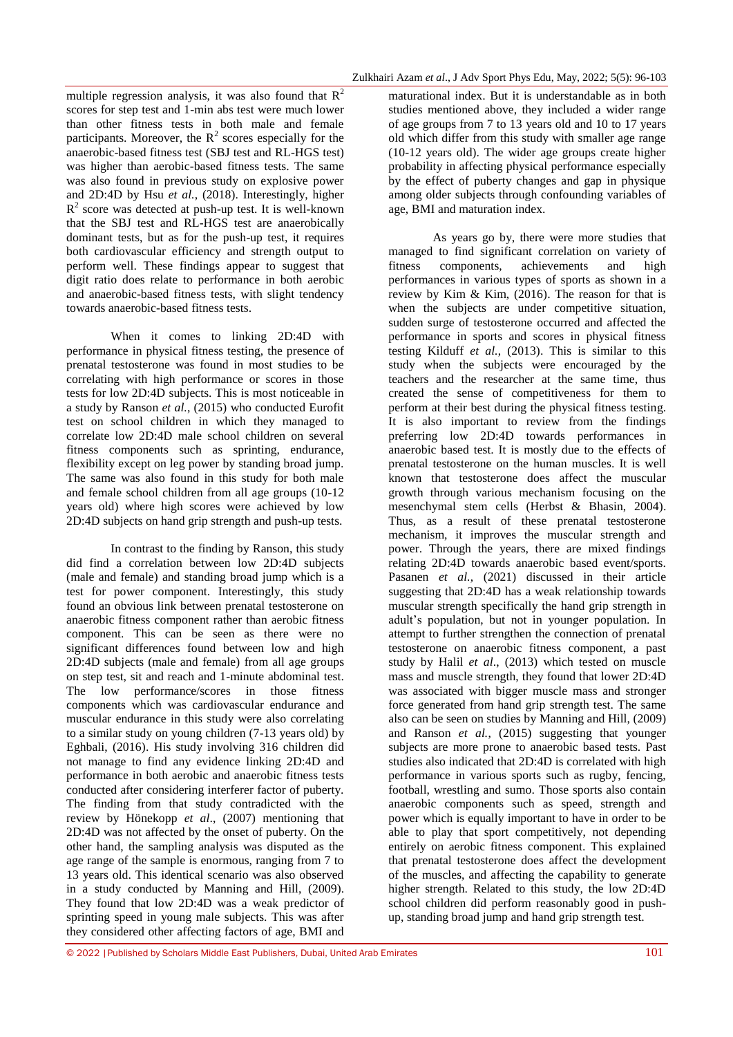multiple regression analysis, it was also found that  $R^2$ scores for step test and 1-min abs test were much lower than other fitness tests in both male and female participants. Moreover, the  $R<sup>2</sup>$  scores especially for the anaerobic-based fitness test (SBJ test and RL-HGS test) was higher than aerobic-based fitness tests. The same was also found in previous study on explosive power and 2D:4D by Hsu *et al.*, (2018). Interestingly, higher  $R<sup>2</sup>$  score was detected at push-up test. It is well-known that the SBJ test and RL-HGS test are anaerobically dominant tests, but as for the push-up test, it requires both cardiovascular efficiency and strength output to perform well. These findings appear to suggest that digit ratio does relate to performance in both aerobic and anaerobic-based fitness tests, with slight tendency towards anaerobic-based fitness tests.

When it comes to linking 2D:4D with performance in physical fitness testing, the presence of prenatal testosterone was found in most studies to be correlating with high performance or scores in those tests for low 2D:4D subjects. This is most noticeable in a study by Ranson *et al.*, (2015) who conducted Eurofit test on school children in which they managed to correlate low 2D:4D male school children on several fitness components such as sprinting, endurance, flexibility except on leg power by standing broad jump. The same was also found in this study for both male and female school children from all age groups (10-12 years old) where high scores were achieved by low 2D:4D subjects on hand grip strength and push-up tests.

In contrast to the finding by Ranson, this study did find a correlation between low 2D:4D subjects (male and female) and standing broad jump which is a test for power component. Interestingly, this study found an obvious link between prenatal testosterone on anaerobic fitness component rather than aerobic fitness component. This can be seen as there were no significant differences found between low and high 2D:4D subjects (male and female) from all age groups on step test, sit and reach and 1-minute abdominal test. The low performance/scores in those fitness components which was cardiovascular endurance and muscular endurance in this study were also correlating to a similar study on young children (7-13 years old) by Eghbali, (2016). His study involving 316 children did not manage to find any evidence linking 2D:4D and performance in both aerobic and anaerobic fitness tests conducted after considering interferer factor of puberty. The finding from that study contradicted with the review by Hönekopp *et al*., (2007) mentioning that 2D:4D was not affected by the onset of puberty. On the other hand, the sampling analysis was disputed as the age range of the sample is enormous, ranging from 7 to 13 years old. This identical scenario was also observed in a study conducted by Manning and Hill, (2009). They found that low 2D:4D was a weak predictor of sprinting speed in young male subjects. This was after they considered other affecting factors of age, BMI and

maturational index. But it is understandable as in both studies mentioned above, they included a wider range of age groups from 7 to 13 years old and 10 to 17 years old which differ from this study with smaller age range (10-12 years old). The wider age groups create higher probability in affecting physical performance especially by the effect of puberty changes and gap in physique among older subjects through confounding variables of age, BMI and maturation index.

As years go by, there were more studies that managed to find significant correlation on variety of fitness components, achievements and high performances in various types of sports as shown in a review by Kim & Kim, (2016). The reason for that is when the subjects are under competitive situation, sudden surge of testosterone occurred and affected the performance in sports and scores in physical fitness testing Kilduff *et al.*, (2013). This is similar to this study when the subjects were encouraged by the teachers and the researcher at the same time, thus created the sense of competitiveness for them to perform at their best during the physical fitness testing. It is also important to review from the findings preferring low 2D:4D towards performances in anaerobic based test. It is mostly due to the effects of prenatal testosterone on the human muscles. It is well known that testosterone does affect the muscular growth through various mechanism focusing on the mesenchymal stem cells (Herbst & Bhasin, 2004). Thus, as a result of these prenatal testosterone mechanism, it improves the muscular strength and power. Through the years, there are mixed findings relating 2D:4D towards anaerobic based event/sports. Pasanen *et al.*, (2021) discussed in their article suggesting that 2D:4D has a weak relationship towards muscular strength specifically the hand grip strength in adult's population, but not in younger population. In attempt to further strengthen the connection of prenatal testosterone on anaerobic fitness component, a past study by Halil *et al*., (2013) which tested on muscle mass and muscle strength, they found that lower 2D:4D was associated with bigger muscle mass and stronger force generated from hand grip strength test. The same also can be seen on studies by Manning and Hill, (2009) and Ranson *et al.*, (2015) suggesting that younger subjects are more prone to anaerobic based tests. Past studies also indicated that 2D:4D is correlated with high performance in various sports such as rugby, fencing, football, wrestling and sumo. Those sports also contain anaerobic components such as speed, strength and power which is equally important to have in order to be able to play that sport competitively, not depending entirely on aerobic fitness component. This explained that prenatal testosterone does affect the development of the muscles, and affecting the capability to generate higher strength. Related to this study, the low 2D:4D school children did perform reasonably good in pushup, standing broad jump and hand grip strength test.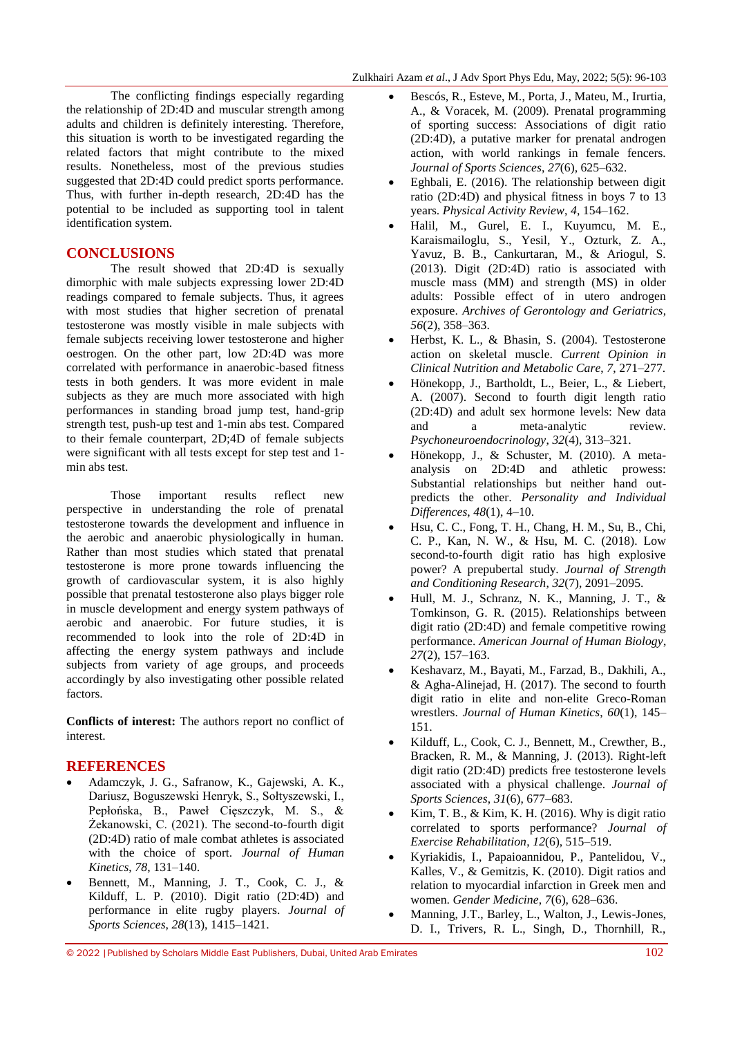The conflicting findings especially regarding the relationship of 2D:4D and muscular strength among adults and children is definitely interesting. Therefore, this situation is worth to be investigated regarding the related factors that might contribute to the mixed results. Nonetheless, most of the previous studies suggested that 2D:4D could predict sports performance. Thus, with further in-depth research, 2D:4D has the potential to be included as supporting tool in talent identification system.

## **CONCLUSIONS**

The result showed that 2D:4D is sexually dimorphic with male subjects expressing lower 2D:4D readings compared to female subjects. Thus, it agrees with most studies that higher secretion of prenatal testosterone was mostly visible in male subjects with female subjects receiving lower testosterone and higher oestrogen. On the other part, low 2D:4D was more correlated with performance in anaerobic-based fitness tests in both genders. It was more evident in male subjects as they are much more associated with high performances in standing broad jump test, hand-grip strength test, push-up test and 1-min abs test. Compared to their female counterpart, 2D;4D of female subjects were significant with all tests except for step test and 1 min abs test.

Those important results reflect new perspective in understanding the role of prenatal testosterone towards the development and influence in the aerobic and anaerobic physiologically in human. Rather than most studies which stated that prenatal testosterone is more prone towards influencing the growth of cardiovascular system, it is also highly possible that prenatal testosterone also plays bigger role in muscle development and energy system pathways of aerobic and anaerobic. For future studies, it is recommended to look into the role of 2D:4D in affecting the energy system pathways and include subjects from variety of age groups, and proceeds accordingly by also investigating other possible related factors.

**Conflicts of interest:** The authors report no conflict of interest.

## **REFERENCES**

- Adamczyk, J. G., Safranow, K., Gajewski, A. K., Dariusz, Boguszewski Henryk, S., Sołtyszewski, I., Pepłońska, B., Paweł Cięszczyk, M. S., & Żekanowski, C. (2021). The second-to-fourth digit (2D:4D) ratio of male combat athletes is associated with the choice of sport. *Journal of Human Kinetics*, *78*, 131–140.
- Bennett, M., Manning, J. T., Cook, C. J., & Kilduff, L. P. (2010). Digit ratio (2D:4D) and performance in elite rugby players. *Journal of Sports Sciences*, *28*(13), 1415–1421.
- Bescós, R., Esteve, M., Porta, J., Mateu, M., Irurtia, A., & Voracek, M. (2009). Prenatal programming of sporting success: Associations of digit ratio (2D:4D), a putative marker for prenatal androgen action, with world rankings in female fencers. *Journal of Sports Sciences*, *27*(6), 625–632.
- Eghbali, E. (2016). The relationship between digit ratio (2D:4D) and physical fitness in boys 7 to 13 years. *Physical Activity Review*, *4*, 154–162.
- Halil, M., Gurel, E. I., Kuyumcu, M. E., Karaismailoglu, S., Yesil, Y., Ozturk, Z. A., Yavuz, B. B., Cankurtaran, M., & Ariogul, S. (2013). Digit (2D:4D) ratio is associated with muscle mass (MM) and strength (MS) in older adults: Possible effect of in utero androgen exposure. *Archives of Gerontology and Geriatrics*, *56*(2), 358–363.
- Herbst, K. L., & Bhasin, S. (2004). Testosterone action on skeletal muscle. *Current Opinion in Clinical Nutrition and Metabolic Care*, *7*, 271–277.
- Hönekopp, J., Bartholdt, L., Beier, L., & Liebert, A. (2007). Second to fourth digit length ratio (2D:4D) and adult sex hormone levels: New data and a meta-analytic review. *Psychoneuroendocrinology*, *32*(4), 313–321.
- Hönekopp, J., & Schuster, M. (2010). A metaanalysis on 2D:4D and athletic prowess: Substantial relationships but neither hand outpredicts the other. *Personality and Individual Differences*, *48*(1), 4–10.
- Hsu, C. C., Fong, T. H., Chang, H. M., Su, B., Chi, C. P., Kan, N. W., & Hsu, M. C. (2018). Low second-to-fourth digit ratio has high explosive power? A prepubertal study. *Journal of Strength and Conditioning Research*, *32*(7), 2091–2095.
- Hull, M. J., Schranz, N. K., Manning, J. T., & Tomkinson, G. R. (2015). Relationships between digit ratio (2D:4D) and female competitive rowing performance. *American Journal of Human Biology*, *27*(2), 157–163.
- Keshavarz, M., Bayati, M., Farzad, B., Dakhili, A., & Agha-Alinejad, H. (2017). The second to fourth digit ratio in elite and non-elite Greco-Roman wrestlers. *Journal of Human Kinetics*, *60*(1), 145– 151.
- Kilduff, L., Cook, C. J., Bennett, M., Crewther, B., Bracken, R. M., & Manning, J. (2013). Right-left digit ratio (2D:4D) predicts free testosterone levels associated with a physical challenge. *Journal of Sports Sciences*, *31*(6), 677–683.
- Kim, T. B., & Kim, K. H. (2016). Why is digit ratio correlated to sports performance? *Journal of Exercise Rehabilitation*, *12*(6), 515–519.
- Kyriakidis, I., Papaioannidou, P., Pantelidou, V., Kalles, V., & Gemitzis, K. (2010). Digit ratios and relation to myocardial infarction in Greek men and women. *Gender Medicine*, *7*(6), 628–636.
- Manning, J.T., Barley, L., Walton, J., Lewis-Jones, D. I., Trivers, R. L., Singh, D., Thornhill, R.,